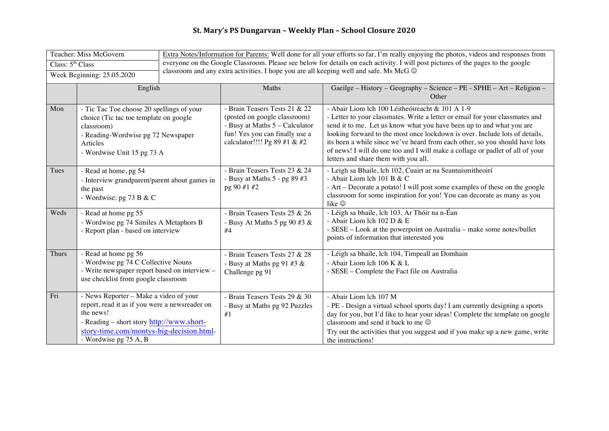## **St. Mary's PS Dungarvan – Weekly Plan – School Closure 2020**

| Teacher: Miss McGovern     |                                                                                                                                                                                                                         | Extra Notes/Information for Parents: Well done for all your efforts so far, I'm really enjoying the photos, videos and responses from                                                                                            |                                                                                                                                                                   |                                                                                                                                                                                                                                                                                                                                                                                                                                                                                                |  |  |
|----------------------------|-------------------------------------------------------------------------------------------------------------------------------------------------------------------------------------------------------------------------|----------------------------------------------------------------------------------------------------------------------------------------------------------------------------------------------------------------------------------|-------------------------------------------------------------------------------------------------------------------------------------------------------------------|------------------------------------------------------------------------------------------------------------------------------------------------------------------------------------------------------------------------------------------------------------------------------------------------------------------------------------------------------------------------------------------------------------------------------------------------------------------------------------------------|--|--|
| Class: $5th Class$         |                                                                                                                                                                                                                         | everyone on the Google Classroom. Please see below for details on each activity. I will post pictures of the pages to the google<br>classroom and any extra activities. I hope you are all keeping well and safe. Ms McG $\odot$ |                                                                                                                                                                   |                                                                                                                                                                                                                                                                                                                                                                                                                                                                                                |  |  |
| Week Beginning: 25.05.2020 |                                                                                                                                                                                                                         |                                                                                                                                                                                                                                  |                                                                                                                                                                   |                                                                                                                                                                                                                                                                                                                                                                                                                                                                                                |  |  |
|                            | English                                                                                                                                                                                                                 |                                                                                                                                                                                                                                  | Maths                                                                                                                                                             | Gaeilge - History - Geography - Science - PE - SPHE - Art - Religion -<br>Other                                                                                                                                                                                                                                                                                                                                                                                                                |  |  |
| Mon                        | - Tic Tac Toe choose 20 spellings of your<br>choice (Tic tac toe template on google<br>classroom)<br>- Reading-Wordwise pg 72 Newspaper<br>Articles<br>- Wordwise Unit 15 pg 73 A                                       |                                                                                                                                                                                                                                  | - Brain Teasers Tests 21 & 22<br>(posted on google classroom)<br>- Busy at Maths 5 - Calculator<br>fun! Yes you can finally use a<br>calculator!!!! Pg 89 #1 & #2 | - Abair Liom lch 100 Léitheóireacht & 101 A 1-9<br>- Letter to your classmates. Write a letter or email for your classmates and<br>send it to me. Let us know what you have been up to and what you are<br>looking forward to the most once lockdown is over. Include lots of details,<br>its been a while since we've heard from each other, so you should have lots<br>of news! I will do one too and I will make a collage or padlet of all of your<br>letters and share them with you all. |  |  |
| Tues                       | - Read at home, pg 54<br>- Interview grandparent/parent about games in<br>the past<br>- Wordwise: pg 73 B & C                                                                                                           |                                                                                                                                                                                                                                  | - Brain Teasers Tests 23 & 24<br>- Busy at Maths 5 - pg 89 #3<br>pg 90 #1 #2                                                                                      | - Leigh sa Bhaile, lch 102, Cuairt ar na Seantuismitheoirí<br>- Abair Liom lch 101 B & C<br>- Art - Decorate a potato! I will post some examples of these on the google<br>classroom for some inspiration for you! You can decorate as many as you<br>like ©                                                                                                                                                                                                                                   |  |  |
| Weds                       | - Read at home pg 55<br>- Wordwise pg 74 Similes A Metaphors B<br>- Report plan - based on interview                                                                                                                    |                                                                                                                                                                                                                                  | - Brain Teasers Tests 25 & 26<br>- Busy At Maths 5 pg 90 #3 $\&$<br>#4                                                                                            | - Léigh sa bhaile, lch 103, Ar Thóir na n-Éan<br>- Abair Liom lch 102 D & E<br>- SESE - Look at the powerpoint on Australia - make some notes/bullet<br>points of information that interested you                                                                                                                                                                                                                                                                                              |  |  |
| <b>Thurs</b>               | - Read at home pg 56<br>- Wordwise pg 74 C Collective Nouns<br>- Write newspaper report based on interview -<br>use checklist from google classroom                                                                     |                                                                                                                                                                                                                                  | Brain Teasers Tests 27 & 28<br>- Busy at Maths pg 91 #3 $\&$<br>Challenge pg 91                                                                                   | - Léigh sa bhaile, lch 104, Timpeall an Domhain<br>- Abair Liom lch 106 K & L<br>- SESE – Complete the Fact file on Australia                                                                                                                                                                                                                                                                                                                                                                  |  |  |
| Fri                        | - News Reporter - Make a video of your<br>report, read it as if you were a newsreader on<br>the news!<br>- Reading – short story http://www.short-<br>story-time.com/montys-big-decision.html-<br>- Wordwise pg 75 A, B |                                                                                                                                                                                                                                  | - Brain Teasers Tests 29 & 30<br>- Busy at Maths pg 92 Puzzles<br>#1                                                                                              | - Abair Liom lch 107 M<br>- PE - Design a virtual school sports day! I am currently designing a sports<br>day for you, but I'd like to hear your ideas! Complete the template on google<br>classroom and send it back to me $\odot$<br>Try out the activities that you suggest and if you make up a new game, write<br>the instructions!                                                                                                                                                       |  |  |